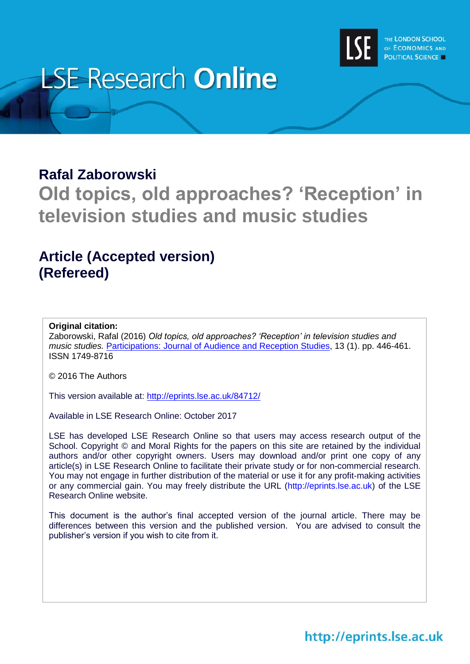

# **LSE Research Online**

### **Rafal Zaborowski**

# **Old topics, old approaches? 'Reception' in television studies and music studies**

### **Article (Accepted version) (Refereed)**

#### **Original citation:**

Zaborowski, Rafal (2016) *Old topics, old approaches? 'Reception' in television studies and music studies.* [Participations: Journal of Audience and Reception Studies,](http://www.participations.org/index.htm) 13 (1). pp. 446-461. ISSN 1749-8716

© 2016 The Authors

This version available at:<http://eprints.lse.ac.uk/84712/>

Available in LSE Research Online: October 2017

LSE has developed LSE Research Online so that users may access research output of the School. Copyright © and Moral Rights for the papers on this site are retained by the individual authors and/or other copyright owners. Users may download and/or print one copy of any article(s) in LSE Research Online to facilitate their private study or for non-commercial research. You may not engage in further distribution of the material or use it for any profit-making activities or any commercial gain. You may freely distribute the URL (http://eprints.lse.ac.uk) of the LSE Research Online website.

This document is the author's final accepted version of the journal article. There may be differences between this version and the published version. You are advised to consult the publisher's version if you wish to cite from it.

## http://eprints.lse.ac.uk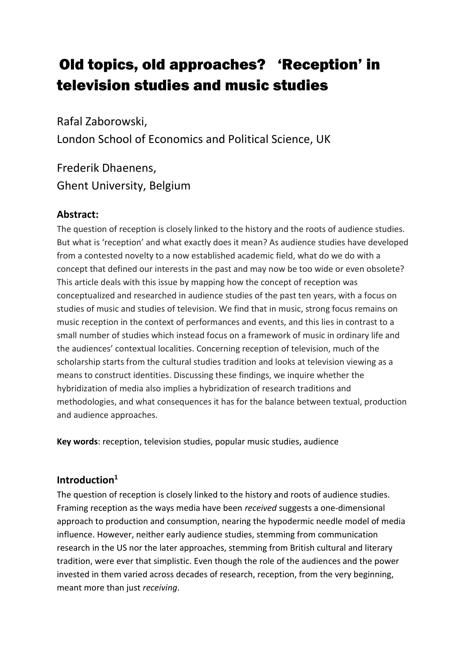# .Old topics, old approaches? 'Reception' in television studies and music studies

Rafal Zaborowski, London School of Economics and Political Science, UK

Frederik Dhaenens, Ghent University, Belgium

#### **Abstract:**

The question of reception is closely linked to the history and the roots of audience studies. But what is 'reception' and what exactly does it mean? As audience studies have developed from a contested novelty to a now established academic field, what do we do with a concept that defined our interests in the past and may now be too wide or even obsolete? This article deals with this issue by mapping how the concept of reception was conceptualized and researched in audience studies of the past ten years, with a focus on studies of music and studies of television. We find that in music, strong focus remains on music reception in the context of performances and events, and this lies in contrast to a small number of studies which instead focus on a framework of music in ordinary life and the audiences' contextual localities. Concerning reception of television, much of the scholarship starts from the cultural studies tradition and looks at television viewing as a means to construct identities. Discussing these findings, we inquire whether the hybridization of media also implies a hybridization of research traditions and methodologies, and what consequences it has for the balance between textual, production and audience approaches.

**Key words**: reception, television studies, popular music studies, audience

#### **Introduction<sup>1</sup>**

The question of reception is closely linked to the history and roots of audience studies. Framing reception as the ways media have been *received* suggests a one-dimensional approach to production and consumption, nearing the hypodermic needle model of media influence. However, neither early audience studies, stemming from communication research in the US nor the later approaches, stemming from British cultural and literary tradition, were ever that simplistic. Even though the role of the audiences and the power invested in them varied across decades of research, reception, from the very beginning, meant more than just *receiving*.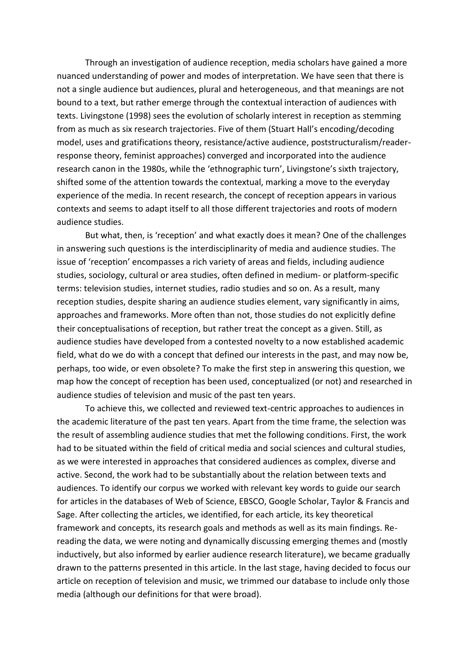Through an investigation of audience reception, media scholars have gained a more nuanced understanding of power and modes of interpretation. We have seen that there is not a single audience but audiences, plural and heterogeneous, and that meanings are not bound to a text, but rather emerge through the contextual interaction of audiences with texts. Livingstone (1998) sees the evolution of scholarly interest in reception as stemming from as much as six research trajectories. Five of them (Stuart Hall's encoding/decoding model, uses and gratifications theory, resistance/active audience, poststructuralism/readerresponse theory, feminist approaches) converged and incorporated into the audience research canon in the 1980s, while the 'ethnographic turn', Livingstone's sixth trajectory, shifted some of the attention towards the contextual, marking a move to the everyday experience of the media. In recent research, the concept of reception appears in various contexts and seems to adapt itself to all those different trajectories and roots of modern audience studies.

But what, then, is 'reception' and what exactly does it mean? One of the challenges in answering such questions is the interdisciplinarity of media and audience studies. The issue of 'reception' encompasses a rich variety of areas and fields, including audience studies, sociology, cultural or area studies, often defined in medium- or platform-specific terms: television studies, internet studies, radio studies and so on. As a result, many reception studies, despite sharing an audience studies element, vary significantly in aims, approaches and frameworks. More often than not, those studies do not explicitly define their conceptualisations of reception, but rather treat the concept as a given. Still, as audience studies have developed from a contested novelty to a now established academic field, what do we do with a concept that defined our interests in the past, and may now be, perhaps, too wide, or even obsolete? To make the first step in answering this question, we map how the concept of reception has been used, conceptualized (or not) and researched in audience studies of television and music of the past ten years.

To achieve this, we collected and reviewed text-centric approaches to audiences in the academic literature of the past ten years. Apart from the time frame, the selection was the result of assembling audience studies that met the following conditions. First, the work had to be situated within the field of critical media and social sciences and cultural studies, as we were interested in approaches that considered audiences as complex, diverse and active. Second, the work had to be substantially about the relation between texts and audiences. To identify our corpus we worked with relevant key words to guide our search for articles in the databases of Web of Science, EBSCO, Google Scholar, Taylor & Francis and Sage. After collecting the articles, we identified, for each article, its key theoretical framework and concepts, its research goals and methods as well as its main findings. Rereading the data, we were noting and dynamically discussing emerging themes and (mostly inductively, but also informed by earlier audience research literature), we became gradually drawn to the patterns presented in this article. In the last stage, having decided to focus our article on reception of television and music, we trimmed our database to include only those media (although our definitions for that were broad).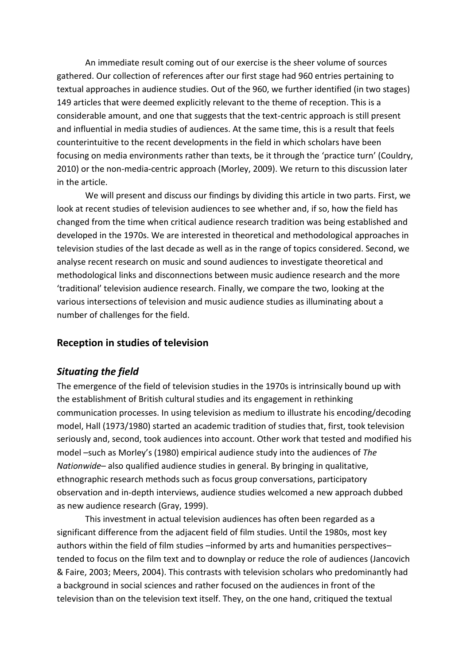An immediate result coming out of our exercise is the sheer volume of sources gathered. Our collection of references after our first stage had 960 entries pertaining to textual approaches in audience studies. Out of the 960, we further identified (in two stages) 149 articles that were deemed explicitly relevant to the theme of reception. This is a considerable amount, and one that suggests that the text-centric approach is still present and influential in media studies of audiences. At the same time, this is a result that feels counterintuitive to the recent developments in the field in which scholars have been focusing on media environments rather than texts, be it through the 'practice turn' (Couldry, 2010) or the non-media-centric approach (Morley, 2009). We return to this discussion later in the article.

We will present and discuss our findings by dividing this article in two parts. First, we look at recent studies of television audiences to see whether and, if so, how the field has changed from the time when critical audience research tradition was being established and developed in the 1970s. We are interested in theoretical and methodological approaches in television studies of the last decade as well as in the range of topics considered. Second, we analyse recent research on music and sound audiences to investigate theoretical and methodological links and disconnections between music audience research and the more 'traditional' television audience research. Finally, we compare the two, looking at the various intersections of television and music audience studies as illuminating about a number of challenges for the field.

#### **Reception in studies of television**

#### *Situating the field*

The emergence of the field of television studies in the 1970s is intrinsically bound up with the establishment of British cultural studies and its engagement in rethinking communication processes. In using television as medium to illustrate his encoding/decoding model, Hall (1973/1980) started an academic tradition of studies that, first, took television seriously and, second, took audiences into account. Other work that tested and modified his model –such as Morley's (1980) empirical audience study into the audiences of *The Nationwide*– also qualified audience studies in general. By bringing in qualitative, ethnographic research methods such as focus group conversations, participatory observation and in-depth interviews, audience studies welcomed a new approach dubbed as new audience research (Gray, 1999).

This investment in actual television audiences has often been regarded as a significant difference from the adjacent field of film studies. Until the 1980s, most key authors within the field of film studies –informed by arts and humanities perspectives– tended to focus on the film text and to downplay or reduce the role of audiences (Jancovich & Faire, 2003; Meers, 2004). This contrasts with television scholars who predominantly had a background in social sciences and rather focused on the audiences in front of the television than on the television text itself. They, on the one hand, critiqued the textual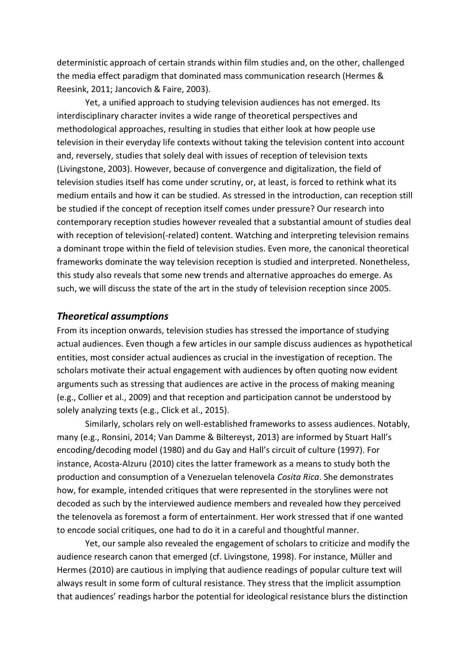deterministic approach of certain strands within film studies and, on the other, challenged the media effect paradigm that dominated mass communication research (Hermes & Reesink, 2011; Jancovich & Faire, 2003).

Yet, a unified approach to studying television audiences has not emerged. Its interdisciplinary character invites a wide range of theoretical perspectives and methodological approaches, resulting in studies that either look at how people use television in their everyday life contexts without taking the television content into account and, reversely, studies that solely deal with issues of reception of television texts (Livingstone, 2003). However, because of convergence and digitalization, the field of television studies itself has come under scrutiny, or, at least, is forced to rethink what its medium entails and how it can be studied. As stressed in the introduction, can reception still be studied if the concept of reception itself comes under pressure? Our research into contemporary reception studies however revealed that a substantial amount of studies deal with reception of television(-related) content. Watching and interpreting television remains a dominant trope within the field of television studies. Even more, the canonical theoretical frameworks dominate the way television reception is studied and interpreted. Nonetheless, this study also reveals that some new trends and alternative approaches do emerge. As such, we will discuss the state of the art in the study of television reception since 2005.

#### *Theoretical assumptions*

From its inception onwards, television studies has stressed the importance of studying actual audiences. Even though a few articles in our sample discuss audiences as hypothetical entities, most consider actual audiences as crucial in the investigation of reception. The scholars motivate their actual engagement with audiences by often quoting now evident arguments such as stressing that audiences are active in the process of making meaning (e.g., Collier et al., 2009) and that reception and participation cannot be understood by solely analyzing texts (e.g., Click et al., 2015).

Similarly, scholars rely on well-established frameworks to assess audiences. Notably, many (e.g., Ronsini, 2014; Van Damme & Biltereyst, 2013) are informed by Stuart Hall's encoding/decoding model (1980) and du Gay and Hall's circuit of culture (1997). For instance, Acosta-Alzuru (2010) cites the latter framework as a means to study both the production and consumption of a Venezuelan telenovela *Cosita Rica*. She demonstrates how, for example, intended critiques that were represented in the storylines were not decoded as such by the interviewed audience members and revealed how they perceived the telenovela as foremost a form of entertainment. Her work stressed that if one wanted to encode social critiques, one had to do it in a careful and thoughtful manner.

Yet, our sample also revealed the engagement of scholars to criticize and modify the audience research canon that emerged (cf. Livingstone, 1998). For instance, Müller and Hermes (2010) are cautious in implying that audience readings of popular culture text will always result in some form of cultural resistance. They stress that the implicit assumption that audiences' readings harbor the potential for ideological resistance blurs the distinction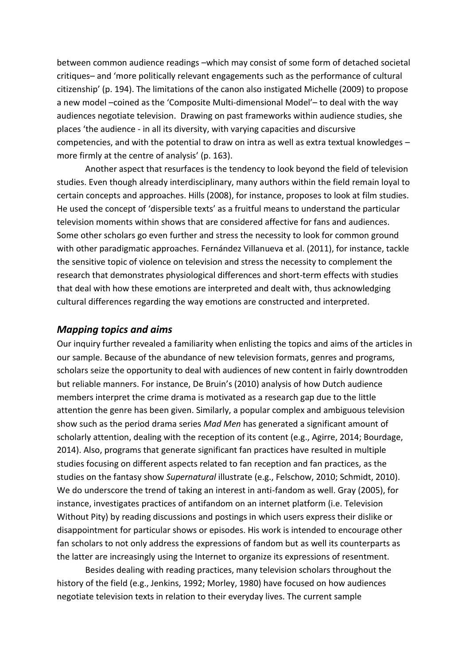between common audience readings –which may consist of some form of detached societal critiques– and 'more politically relevant engagements such as the performance of cultural citizenship' (p. 194). The limitations of the canon also instigated Michelle (2009) to propose a new model –coined as the 'Composite Multi-dimensional Model'– to deal with the way audiences negotiate television. Drawing on past frameworks within audience studies, she places 'the audience - in all its diversity, with varying capacities and discursive competencies, and with the potential to draw on intra as well as extra textual knowledges – more firmly at the centre of analysis' (p. 163).

Another aspect that resurfaces is the tendency to look beyond the field of television studies. Even though already interdisciplinary, many authors within the field remain loyal to certain concepts and approaches. Hills (2008), for instance, proposes to look at film studies. He used the concept of 'dispersible texts' as a fruitful means to understand the particular television moments within shows that are considered affective for fans and audiences. Some other scholars go even further and stress the necessity to look for common ground with other paradigmatic approaches. Fernández Villanueva et al. (2011), for instance, tackle the sensitive topic of violence on television and stress the necessity to complement the research that demonstrates physiological differences and short-term effects with studies that deal with how these emotions are interpreted and dealt with, thus acknowledging cultural differences regarding the way emotions are constructed and interpreted.

#### *Mapping topics and aims*

Our inquiry further revealed a familiarity when enlisting the topics and aims of the articles in our sample. Because of the abundance of new television formats, genres and programs, scholars seize the opportunity to deal with audiences of new content in fairly downtrodden but reliable manners. For instance, De Bruin's (2010) analysis of how Dutch audience members interpret the crime drama is motivated as a research gap due to the little attention the genre has been given. Similarly, a popular complex and ambiguous television show such as the period drama series *Mad Men* has generated a significant amount of scholarly attention, dealing with the reception of its content (e.g., Agirre, 2014; Bourdage, 2014). Also, programs that generate significant fan practices have resulted in multiple studies focusing on different aspects related to fan reception and fan practices, as the studies on the fantasy show *Supernatural* illustrate (e.g., Felschow, 2010; Schmidt, 2010). We do underscore the trend of taking an interest in anti-fandom as well. Gray (2005), for instance, investigates practices of antifandom on an internet platform (i.e. Television Without Pity) by reading discussions and postings in which users express their dislike or disappointment for particular shows or episodes. His work is intended to encourage other fan scholars to not only address the expressions of fandom but as well its counterparts as the latter are increasingly using the Internet to organize its expressions of resentment.

Besides dealing with reading practices, many television scholars throughout the history of the field (e.g., Jenkins, 1992; Morley, 1980) have focused on how audiences negotiate television texts in relation to their everyday lives. The current sample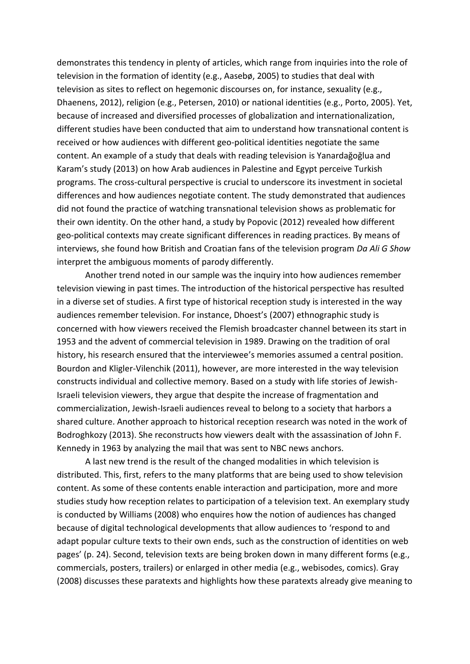demonstrates this tendency in plenty of articles, which range from inquiries into the role of television in the formation of identity (e.g., Aasebø, 2005) to studies that deal with television as sites to reflect on hegemonic discourses on, for instance, sexuality (e.g., Dhaenens, 2012), religion (e.g., Petersen, 2010) or national identities (e.g., Porto, 2005). Yet, because of increased and diversified processes of globalization and internationalization, different studies have been conducted that aim to understand how transnational content is received or how audiences with different geo-political identities negotiate the same content. An example of a study that deals with reading television is Yanardağoğlua and Karam's study (2013) on how Arab audiences in Palestine and Egypt perceive Turkish programs. The cross-cultural perspective is crucial to underscore its investment in societal differences and how audiences negotiate content. The study demonstrated that audiences did not found the practice of watching transnational television shows as problematic for their own identity. On the other hand, a study by Popovic (2012) revealed how different geo-political contexts may create significant differences in reading practices. By means of interviews, she found how British and Croatian fans of the television program *Da Ali G Show* interpret the ambiguous moments of parody differently.

Another trend noted in our sample was the inquiry into how audiences remember television viewing in past times. The introduction of the historical perspective has resulted in a diverse set of studies. A first type of historical reception study is interested in the way audiences remember television. For instance, Dhoest's (2007) ethnographic study is concerned with how viewers received the Flemish broadcaster channel between its start in 1953 and the advent of commercial television in 1989. Drawing on the tradition of oral history, his research ensured that the interviewee's memories assumed a central position. Bourdon and Kligler-Vilenchik (2011), however, are more interested in the way television constructs individual and collective memory. Based on a study with life stories of Jewish-Israeli television viewers, they argue that despite the increase of fragmentation and commercialization, Jewish-Israeli audiences reveal to belong to a society that harbors a shared culture. Another approach to historical reception research was noted in the work of Bodroghkozy (2013). She reconstructs how viewers dealt with the assassination of John F. Kennedy in 1963 by analyzing the mail that was sent to NBC news anchors.

A last new trend is the result of the changed modalities in which television is distributed. This, first, refers to the many platforms that are being used to show television content. As some of these contents enable interaction and participation, more and more studies study how reception relates to participation of a television text. An exemplary study is conducted by Williams (2008) who enquires how the notion of audiences has changed because of digital technological developments that allow audiences to 'respond to and adapt popular culture texts to their own ends, such as the construction of identities on web pages' (p. 24). Second, television texts are being broken down in many different forms (e.g., commercials, posters, trailers) or enlarged in other media (e.g., webisodes, comics). Gray (2008) discusses these paratexts and highlights how these paratexts already give meaning to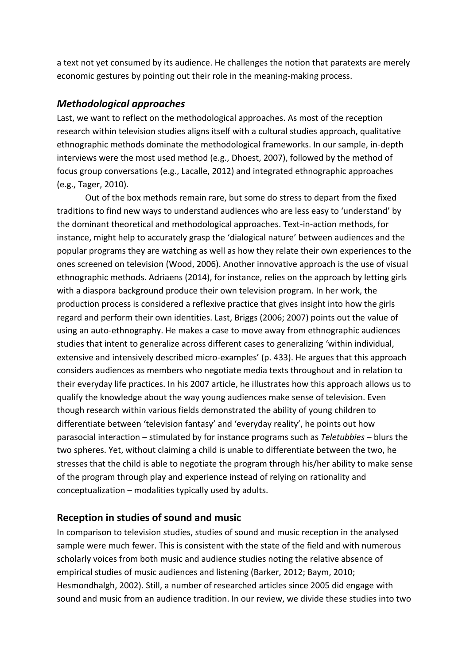a text not yet consumed by its audience. He challenges the notion that paratexts are merely economic gestures by pointing out their role in the meaning-making process.

#### *Methodological approaches*

Last, we want to reflect on the methodological approaches. As most of the reception research within television studies aligns itself with a cultural studies approach, qualitative ethnographic methods dominate the methodological frameworks. In our sample, in-depth interviews were the most used method (e.g., Dhoest, 2007), followed by the method of focus group conversations (e.g., Lacalle, 2012) and integrated ethnographic approaches (e.g., Tager, 2010).

Out of the box methods remain rare, but some do stress to depart from the fixed traditions to find new ways to understand audiences who are less easy to 'understand' by the dominant theoretical and methodological approaches. Text-in-action methods, for instance, might help to accurately grasp the 'dialogical nature' between audiences and the popular programs they are watching as well as how they relate their own experiences to the ones screened on television (Wood, 2006). Another innovative approach is the use of visual ethnographic methods. Adriaens (2014), for instance, relies on the approach by letting girls with a diaspora background produce their own television program. In her work, the production process is considered a reflexive practice that gives insight into how the girls regard and perform their own identities. Last, Briggs (2006; 2007) points out the value of using an auto-ethnography. He makes a case to move away from ethnographic audiences studies that intent to generalize across different cases to generalizing 'within individual, extensive and intensively described micro-examples' (p. 433). He argues that this approach considers audiences as members who negotiate media texts throughout and in relation to their everyday life practices. In his 2007 article, he illustrates how this approach allows us to qualify the knowledge about the way young audiences make sense of television. Even though research within various fields demonstrated the ability of young children to differentiate between 'television fantasy' and 'everyday reality', he points out how parasocial interaction – stimulated by for instance programs such as *Teletubbies* – blurs the two spheres. Yet, without claiming a child is unable to differentiate between the two, he stresses that the child is able to negotiate the program through his/her ability to make sense of the program through play and experience instead of relying on rationality and conceptualization – modalities typically used by adults.

#### **Reception in studies of sound and music**

In comparison to television studies, studies of sound and music reception in the analysed sample were much fewer. This is consistent with the state of the field and with numerous scholarly voices from both music and audience studies noting the relative absence of empirical studies of music audiences and listening (Barker, 2012; Baym, 2010; Hesmondhalgh, 2002). Still, a number of researched articles since 2005 did engage with sound and music from an audience tradition. In our review, we divide these studies into two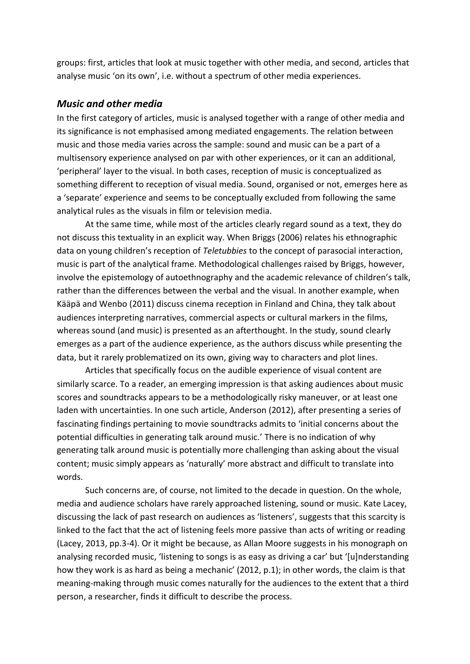groups: first, articles that look at music together with other media, and second, articles that analyse music 'on its own', i.e. without a spectrum of other media experiences.

#### *Music and other media*

In the first category of articles, music is analysed together with a range of other media and its significance is not emphasised among mediated engagements. The relation between music and those media varies across the sample: sound and music can be a part of a multisensory experience analysed on par with other experiences, or it can an additional, 'peripheral' layer to the visual. In both cases, reception of music is conceptualized as something different to reception of visual media. Sound, organised or not, emerges here as a 'separate' experience and seems to be conceptually excluded from following the same analytical rules as the visuals in film or television media.

At the same time, while most of the articles clearly regard sound as a text, they do not discuss this textuality in an explicit way. When Briggs (2006) relates his ethnographic data on young children's reception of *Teletubbies* to the concept of parasocial interaction, music is part of the analytical frame. Methodological challenges raised by Briggs, however, involve the epistemology of autoethnography and the academic relevance of children's talk, rather than the differences between the verbal and the visual. In another example, when Kääpä and Wenbo (2011) discuss cinema reception in Finland and China, they talk about audiences interpreting narratives, commercial aspects or cultural markers in the films, whereas sound (and music) is presented as an afterthought. In the study, sound clearly emerges as a part of the audience experience, as the authors discuss while presenting the data, but it rarely problematized on its own, giving way to characters and plot lines.

Articles that specifically focus on the audible experience of visual content are similarly scarce. To a reader, an emerging impression is that asking audiences about music scores and soundtracks appears to be a methodologically risky maneuver, or at least one laden with uncertainties. In one such article, Anderson (2012), after presenting a series of fascinating findings pertaining to movie soundtracks admits to 'initial concerns about the potential difficulties in generating talk around music.' There is no indication of why generating talk around music is potentially more challenging than asking about the visual content; music simply appears as 'naturally' more abstract and difficult to translate into words.

Such concerns are, of course, not limited to the decade in question. On the whole, media and audience scholars have rarely approached listening, sound or music. Kate Lacey, discussing the lack of past research on audiences as 'listeners', suggests that this scarcity is linked to the fact that the act of listening feels more passive than acts of writing or reading (Lacey, 2013, pp.3-4). Or it might be because, as Allan Moore suggests in his monograph on analysing recorded music, 'listening to songs is as easy as driving a car' but '[u]nderstanding how they work is as hard as being a mechanic' (2012, p.1); in other words, the claim is that meaning-making through music comes naturally for the audiences to the extent that a third person, a researcher, finds it difficult to describe the process.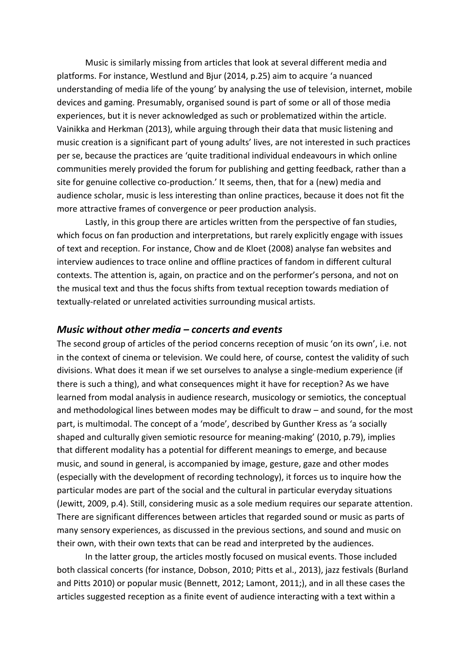Music is similarly missing from articles that look at several different media and platforms. For instance, Westlund and Bjur (2014, p.25) aim to acquire 'a nuanced understanding of media life of the young' by analysing the use of television, internet, mobile devices and gaming. Presumably, organised sound is part of some or all of those media experiences, but it is never acknowledged as such or problematized within the article. Vainikka and Herkman (2013), while arguing through their data that music listening and music creation is a significant part of young adults' lives, are not interested in such practices per se, because the practices are 'quite traditional individual endeavours in which online communities merely provided the forum for publishing and getting feedback, rather than a site for genuine collective co-production.' It seems, then, that for a (new) media and audience scholar, music is less interesting than online practices, because it does not fit the more attractive frames of convergence or peer production analysis.

Lastly, in this group there are articles written from the perspective of fan studies, which focus on fan production and interpretations, but rarely explicitly engage with issues of text and reception. For instance, Chow and de Kloet (2008) analyse fan websites and interview audiences to trace online and offline practices of fandom in different cultural contexts. The attention is, again, on practice and on the performer's persona, and not on the musical text and thus the focus shifts from textual reception towards mediation of textually-related or unrelated activities surrounding musical artists.

#### *Music without other media – concerts and events*

The second group of articles of the period concerns reception of music 'on its own', i.e. not in the context of cinema or television. We could here, of course, contest the validity of such divisions. What does it mean if we set ourselves to analyse a single-medium experience (if there is such a thing), and what consequences might it have for reception? As we have learned from modal analysis in audience research, musicology or semiotics, the conceptual and methodological lines between modes may be difficult to draw – and sound, for the most part, is multimodal. The concept of a 'mode', described by Gunther Kress as 'a socially shaped and culturally given semiotic resource for meaning-making' (2010, p.79), implies that different modality has a potential for different meanings to emerge, and because music, and sound in general, is accompanied by image, gesture, gaze and other modes (especially with the development of recording technology), it forces us to inquire how the particular modes are part of the social and the cultural in particular everyday situations (Jewitt, 2009, p.4). Still, considering music as a sole medium requires our separate attention. There are significant differences between articles that regarded sound or music as parts of many sensory experiences, as discussed in the previous sections, and sound and music on their own, with their own texts that can be read and interpreted by the audiences.

In the latter group, the articles mostly focused on musical events. Those included both classical concerts (for instance, Dobson, 2010; Pitts et al., 2013), jazz festivals (Burland and Pitts 2010) or popular music (Bennett, 2012; Lamont, 2011;), and in all these cases the articles suggested reception as a finite event of audience interacting with a text within a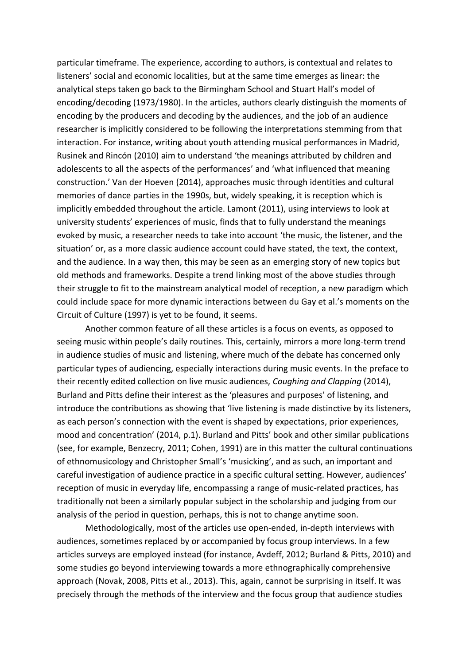particular timeframe. The experience, according to authors, is contextual and relates to listeners' social and economic localities, but at the same time emerges as linear: the analytical steps taken go back to the Birmingham School and Stuart Hall's model of encoding/decoding (1973/1980). In the articles, authors clearly distinguish the moments of encoding by the producers and decoding by the audiences, and the job of an audience researcher is implicitly considered to be following the interpretations stemming from that interaction. For instance, writing about youth attending musical performances in Madrid, Rusinek and Rincón (2010) aim to understand 'the meanings attributed by children and adolescents to all the aspects of the performances' and 'what influenced that meaning construction.' Van der Hoeven (2014), approaches music through identities and cultural memories of dance parties in the 1990s, but, widely speaking, it is reception which is implicitly embedded throughout the article. Lamont (2011), using interviews to look at university students' experiences of music, finds that to fully understand the meanings evoked by music, a researcher needs to take into account 'the music, the listener, and the situation' or, as a more classic audience account could have stated, the text, the context, and the audience. In a way then, this may be seen as an emerging story of new topics but old methods and frameworks. Despite a trend linking most of the above studies through their struggle to fit to the mainstream analytical model of reception, a new paradigm which could include space for more dynamic interactions between du Gay et al.'s moments on the Circuit of Culture (1997) is yet to be found, it seems.

Another common feature of all these articles is a focus on events, as opposed to seeing music within people's daily routines. This, certainly, mirrors a more long-term trend in audience studies of music and listening, where much of the debate has concerned only particular types of audiencing, especially interactions during music events. In the preface to their recently edited collection on live music audiences, *Coughing and Clapping* (2014), Burland and Pitts define their interest as the 'pleasures and purposes' of listening, and introduce the contributions as showing that 'live listening is made distinctive by its listeners, as each person's connection with the event is shaped by expectations, prior experiences, mood and concentration' (2014, p.1). Burland and Pitts' book and other similar publications (see, for example, Benzecry, 2011; Cohen, 1991) are in this matter the cultural continuations of ethnomusicology and Christopher Small's 'musicking', and as such, an important and careful investigation of audience practice in a specific cultural setting. However, audiences' reception of music in everyday life, encompassing a range of music-related practices, has traditionally not been a similarly popular subject in the scholarship and judging from our analysis of the period in question, perhaps, this is not to change anytime soon.

Methodologically, most of the articles use open-ended, in-depth interviews with audiences, sometimes replaced by or accompanied by focus group interviews. In a few articles surveys are employed instead (for instance, Avdeff, 2012; Burland & Pitts, 2010) and some studies go beyond interviewing towards a more ethnographically comprehensive approach (Novak, 2008, Pitts et al., 2013). This, again, cannot be surprising in itself. It was precisely through the methods of the interview and the focus group that audience studies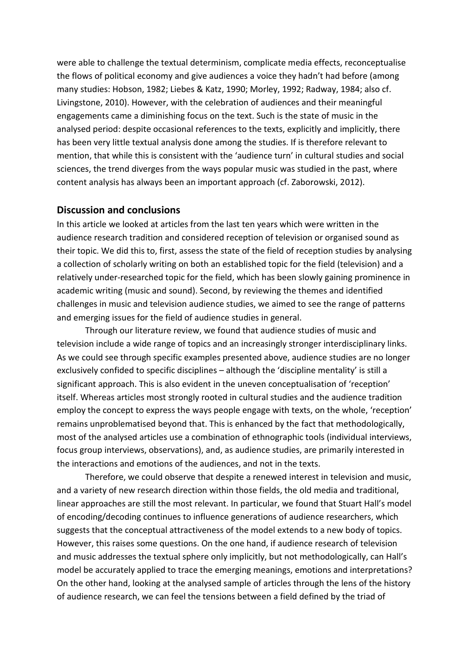were able to challenge the textual determinism, complicate media effects, reconceptualise the flows of political economy and give audiences a voice they hadn't had before (among many studies: Hobson, 1982; Liebes & Katz, 1990; Morley, 1992; Radway, 1984; also cf. Livingstone, 2010). However, with the celebration of audiences and their meaningful engagements came a diminishing focus on the text. Such is the state of music in the analysed period: despite occasional references to the texts, explicitly and implicitly, there has been very little textual analysis done among the studies. If is therefore relevant to mention, that while this is consistent with the 'audience turn' in cultural studies and social sciences, the trend diverges from the ways popular music was studied in the past, where content analysis has always been an important approach (cf. Zaborowski, 2012).

#### **Discussion and conclusions**

In this article we looked at articles from the last ten years which were written in the audience research tradition and considered reception of television or organised sound as their topic. We did this to, first, assess the state of the field of reception studies by analysing a collection of scholarly writing on both an established topic for the field (television) and a relatively under-researched topic for the field, which has been slowly gaining prominence in academic writing (music and sound). Second, by reviewing the themes and identified challenges in music and television audience studies, we aimed to see the range of patterns and emerging issues for the field of audience studies in general.

Through our literature review, we found that audience studies of music and television include a wide range of topics and an increasingly stronger interdisciplinary links. As we could see through specific examples presented above, audience studies are no longer exclusively confided to specific disciplines – although the 'discipline mentality' is still a significant approach. This is also evident in the uneven conceptualisation of 'reception' itself. Whereas articles most strongly rooted in cultural studies and the audience tradition employ the concept to express the ways people engage with texts, on the whole, 'reception' remains unproblematised beyond that. This is enhanced by the fact that methodologically, most of the analysed articles use a combination of ethnographic tools (individual interviews, focus group interviews, observations), and, as audience studies, are primarily interested in the interactions and emotions of the audiences, and not in the texts.

Therefore, we could observe that despite a renewed interest in television and music, and a variety of new research direction within those fields, the old media and traditional, linear approaches are still the most relevant. In particular, we found that Stuart Hall's model of encoding/decoding continues to influence generations of audience researchers, which suggests that the conceptual attractiveness of the model extends to a new body of topics. However, this raises some questions. On the one hand, if audience research of television and music addresses the textual sphere only implicitly, but not methodologically, can Hall's model be accurately applied to trace the emerging meanings, emotions and interpretations? On the other hand, looking at the analysed sample of articles through the lens of the history of audience research, we can feel the tensions between a field defined by the triad of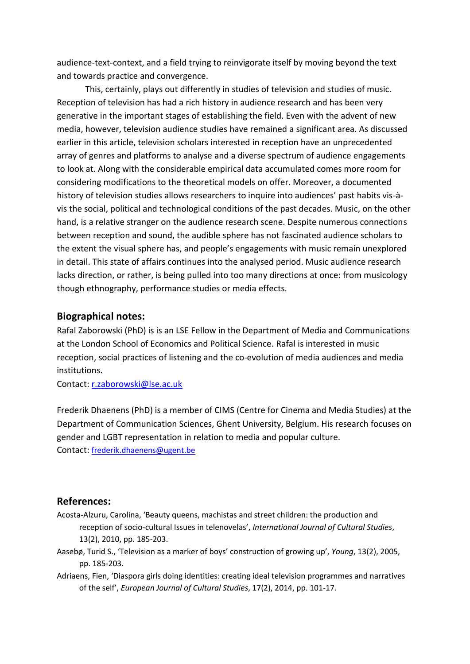audience-text-context, and a field trying to reinvigorate itself by moving beyond the text and towards practice and convergence.

This, certainly, plays out differently in studies of television and studies of music. Reception of television has had a rich history in audience research and has been very generative in the important stages of establishing the field. Even with the advent of new media, however, television audience studies have remained a significant area. As discussed earlier in this article, television scholars interested in reception have an unprecedented array of genres and platforms to analyse and a diverse spectrum of audience engagements to look at. Along with the considerable empirical data accumulated comes more room for considering modifications to the theoretical models on offer. Moreover, a documented history of television studies allows researchers to inquire into audiences' past habits vis-àvis the social, political and technological conditions of the past decades. Music, on the other hand, is a relative stranger on the audience research scene. Despite numerous connections between reception and sound, the audible sphere has not fascinated audience scholars to the extent the visual sphere has, and people's engagements with music remain unexplored in detail. This state of affairs continues into the analysed period. Music audience research lacks direction, or rather, is being pulled into too many directions at once: from musicology though ethnography, performance studies or media effects.

#### **Biographical notes:**

Rafal Zaborowski (PhD) is is an LSE Fellow in the Department of Media and Communications at the London School of Economics and Political Science. Rafal is interested in music reception, social practices of listening and the co-evolution of media audiences and media institutions.

Contact: [r.zaborowski@lse.ac.uk](mailto:r.zaborowski@lse.ac.uk)

Frederik Dhaenens (PhD) is a member of CIMS (Centre for Cinema and Media Studies) at the Department of Communication Sciences, Ghent University, Belgium. His research focuses on gender and LGBT representation in relation to media and popular culture. Contact: [frederik.dhaenens@ugent.be](mailto:frederik.dhaenens@ugent.be)

#### **References:**

- Acosta-Alzuru, Carolina, 'Beauty queens, machistas and street children: the production and reception of socio-cultural Issues in telenovelas', *International Journal of Cultural Studies*, 13(2), 2010, pp. 185-203.
- Aasebø, Turid S., 'Television as a marker of boys' construction of growing up', *Young*, 13(2), 2005, pp. 185-203.
- Adriaens, Fien, 'Diaspora girls doing identities: creating ideal television programmes and narratives of the self', *European Journal of Cultural Studies*, 17(2), 2014, pp. 101-17.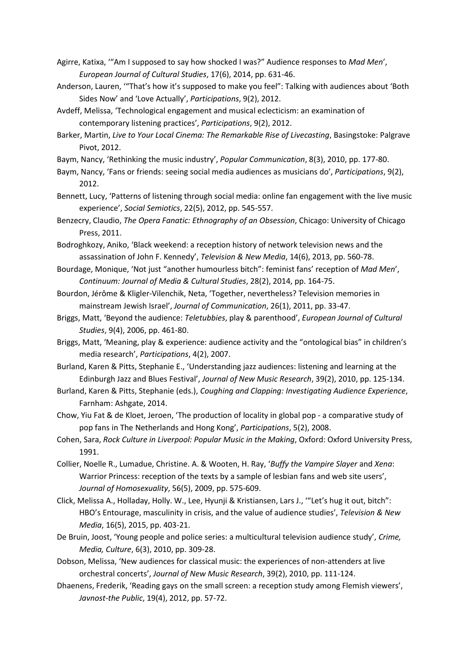- Agirre, Katixa, '"Am I supposed to say how shocked I was?" Audience responses to *Mad Men*', *European Journal of Cultural Studies*, 17(6), 2014, pp. 631-46.
- Anderson, Lauren, '"That's how it's supposed to make you feel": Talking with audiences about 'Both Sides Now' and 'Love Actually', *Participations*, 9(2), 2012.
- Avdeff, Melissa, 'Technological engagement and musical eclecticism: an examination of contemporary listening practices', *Participations*, 9(2), 2012.
- Barker, Martin, *Live to Your Local Cinema: The Remarkable Rise of Livecasting*, Basingstoke: Palgrave Pivot, 2012.
- Baym, Nancy, 'Rethinking the music industry', *Popular Communication*, 8(3), 2010, pp. 177-80.
- Baym, Nancy, 'Fans or friends: seeing social media audiences as musicians do', *Participations*, 9(2), 2012.
- Bennett, Lucy, 'Patterns of listening through social media: online fan engagement with the live music experience', *Social Semiotics*, 22(5), 2012, pp. 545-557.
- Benzecry, Claudio, *The Opera Fanatic: Ethnography of an Obsession*, Chicago: University of Chicago Press, 2011.
- Bodroghkozy, Aniko, 'Black weekend: a reception history of network television news and the assassination of John F. Kennedy', *Television & New Media*, 14(6), 2013, pp. 560-78.
- Bourdage, Monique, 'Not just "another humourless bitch": feminist fans' reception of *Mad Men*', *Continuum: Journal of Media & Cultural Studies*, 28(2), 2014, pp. 164-75.
- Bourdon, Jérôme & Kligler-Vilenchik, Neta, 'Together, nevertheless? Television memories in mainstream Jewish Israel', *Journal of Communication*, 26(1), 2011, pp. 33-47.
- Briggs, Matt, 'Beyond the audience: *Teletubbies*, play & parenthood', *European Journal of Cultural Studies*, 9(4), 2006, pp. 461-80.
- Briggs, Matt, 'Meaning, play & experience: audience activity and the "ontological bias" in children's media research', *Participations*, 4(2), 2007.
- Burland, Karen & Pitts, Stephanie E., 'Understanding jazz audiences: listening and learning at the Edinburgh Jazz and Blues Festival', *Journal of New Music Research*, 39(2), 2010, pp. 125-134.
- Burland, Karen & Pitts, Stephanie (eds.), *Coughing and Clapping: Investigating Audience Experience*, Farnham: Ashgate, 2014.
- Chow, Yiu Fat & de Kloet, Jeroen, 'The production of locality in global pop a comparative study of pop fans in The Netherlands and Hong Kong', *Participations*, 5(2), 2008.
- Cohen, Sara, *Rock Culture in Liverpool: Popular Music in the Making*, Oxford: Oxford University Press, 1991.
- Collier, Noelle R., Lumadue, Christine. A. & Wooten, H. Ray, '*Buffy the Vampire Slayer* and *Xena*: Warrior Princess: reception of the texts by a sample of lesbian fans and web site users', *Journal of Homosexuality*, 56(5), 2009, pp. 575-609.
- Click, Melissa A., Holladay, Holly. W., Lee, Hyunji & Kristiansen, Lars J., '"Let's hug it out, bitch": HBO's Entourage, masculinity in crisis, and the value of audience studies', *Television & New Media*, 16(5), 2015, pp. 403-21.
- De Bruin, Joost, 'Young people and police series: a multicultural television audience study', *Crime, Media, Culture*, 6(3), 2010, pp. 309-28.
- Dobson, Melissa, 'New audiences for classical music: the experiences of non-attenders at live orchestral concerts', *Journal of New Music Research*, 39(2), 2010, pp. 111-124.
- Dhaenens, Frederik, 'Reading gays on the small screen: a reception study among Flemish viewers', *Javnost-the Public*, 19(4), 2012, pp. 57-72.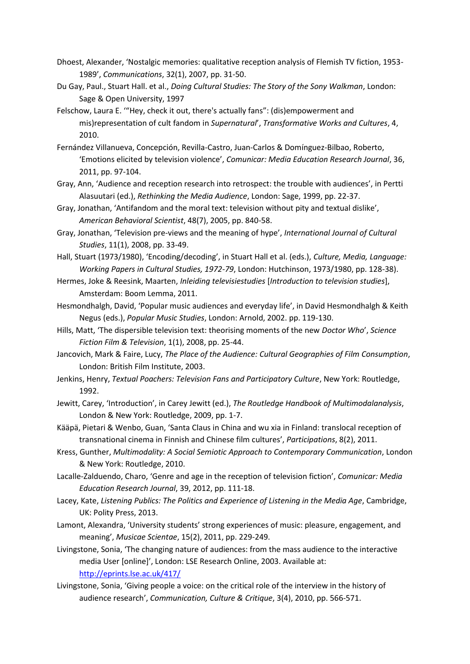- Dhoest, Alexander, 'Nostalgic memories: qualitative reception analysis of Flemish TV fiction, 1953- 1989', *Communications*, 32(1), 2007, pp. 31-50.
- Du Gay, Paul., Stuart Hall. et al., *Doing Cultural Studies: The Story of the Sony Walkman*, London: Sage & Open University, 1997
- Felschow, Laura E. '"Hey, check it out, there's actually fans": (dis)empowerment and mis)representation of cult fandom in *Supernatural*', *Transformative Works and Cultures*, 4, 2010.
- Fernández Villanueva, Concepción, Revilla-Castro, Juan-Carlos & Domínguez-Bilbao, Roberto, 'Emotions elicited by television violence', *Comunicar: Media Education Research Journal*, 36, 2011, pp. 97-104.
- Gray, Ann, 'Audience and reception research into retrospect: the trouble with audiences', in Pertti Alasuutari (ed.), *Rethinking the Media Audience*, London: Sage, 1999, pp. 22-37.
- Gray, Jonathan, 'Antifandom and the moral text: television without pity and textual dislike', *American Behavioral Scientist*, 48(7), 2005, pp. 840-58.
- Gray, Jonathan, 'Television pre-views and the meaning of hype', *International Journal of Cultural Studies*, 11(1), 2008, pp. 33-49.
- Hall, Stuart (1973/1980), 'Encoding/decoding', in Stuart Hall et al. (eds.), *Culture, Media, Language: Working Papers in Cultural Studies, 1972-79*, London: Hutchinson, 1973/1980, pp. 128-38).
- Hermes, Joke & Reesink, Maarten, *Inleiding televisiestudies* [*Introduction to television studies*], Amsterdam: Boom Lemma, 2011.
- Hesmondhalgh, David, 'Popular music audiences and everyday life', in David Hesmondhalgh & Keith Negus (eds.), *Popular Music Studies*, London: Arnold, 2002. pp. 119-130.
- Hills, Matt, 'The dispersible television text: theorising moments of the new *Doctor Who*', *Science Fiction Film & Television*, 1(1), 2008, pp. 25-44.
- Jancovich, Mark & Faire, Lucy, *The Place of the Audience: Cultural Geographies of Film Consumption*, London: British Film Institute, 2003.
- Jenkins, Henry, *Textual Poachers: Television Fans and Participatory Culture*, New York: Routledge, 1992.
- Jewitt, Carey, 'Introduction', in Carey Jewitt (ed.), *The Routledge Handbook of Multimodalanalysis*, London & New York: Routledge, 2009, pp. 1-7.
- Kääpä, Pietari & Wenbo, Guan, 'Santa Claus in China and wu xia in Finland: translocal reception of transnational cinema in Finnish and Chinese film cultures', *Participations*, 8(2), 2011.
- Kress, Gunther, *Multimodality: A Social Semiotic Approach to Contemporary Communication*, London & New York: Routledge, 2010.
- Lacalle-Zalduendo, Charo, 'Genre and age in the reception of television fiction', *Comunicar: Media Education Research Journal*, 39, 2012, pp. 111-18.
- Lacey, Kate, *Listening Publics: The Politics and Experience of Listening in the Media Age*, Cambridge, UK: Polity Press, 2013.
- Lamont, Alexandra, 'University students' strong experiences of music: pleasure, engagement, and meaning', *Musicae Scientae*, 15(2), 2011, pp. 229-249.
- Livingstone, Sonia, 'The changing nature of audiences: from the mass audience to the interactive media User [online]', London: LSE Research Online, 2003. Available at: <http://eprints.lse.ac.uk/417/>
- Livingstone, Sonia, 'Giving people a voice: on the critical role of the interview in the history of audience research', *Communication, Culture & Critique*, 3(4), 2010, pp. 566-571.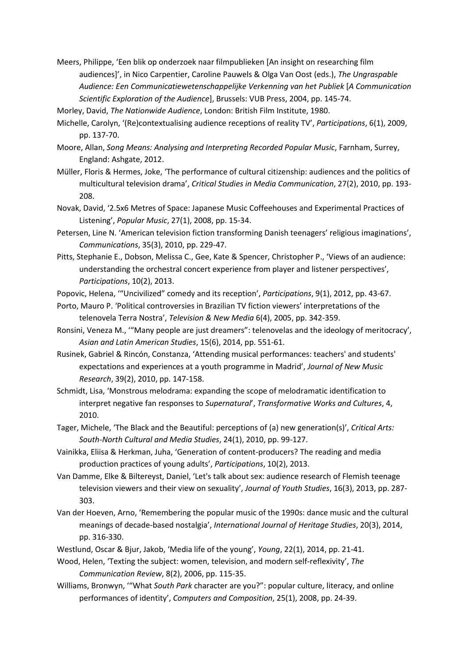Meers, Philippe, 'Een blik op onderzoek naar filmpublieken [An insight on researching film audiences]', in Nico Carpentier, Caroline Pauwels & Olga Van Oost (eds.), *The Ungraspable Audience: Een Communicatiewetenschappelijke Verkenning van het Publiek* [*A Communication Scientific Exploration of the Audience*], Brussels: VUB Press, 2004, pp. 145-74.

Morley, David, *The Nationwide Audience*, London: British Film Institute, 1980.

- Michelle, Carolyn, '(Re)contextualising audience receptions of reality TV', *Participations*, 6(1), 2009, pp. 137-70.
- Moore, Allan, *Song Means: Analysing and Interpreting Recorded Popular Music*, Farnham, Surrey, England: Ashgate, 2012.
- Müller, Floris & Hermes, Joke, 'The performance of cultural citizenship: audiences and the politics of multicultural television drama', *Critical Studies in Media Communication*, 27(2), 2010, pp. 193- 208.
- Novak, David, '2.5x6 Metres of Space: Japanese Music Coffeehouses and Experimental Practices of Listening', *Popular Music*, 27(1), 2008, pp. 15-34.
- Petersen, Line N. 'American television fiction transforming Danish teenagers' religious imaginations', *Communications*, 35(3), 2010, pp. 229-47.
- Pitts, Stephanie E., Dobson, Melissa C., Gee, Kate & Spencer, Christopher P., 'Views of an audience: understanding the orchestral concert experience from player and listener perspectives', *Participations*, 10(2), 2013.
- Popovic, Helena, '"Uncivilized" comedy and its reception', *Participations*, 9(1), 2012, pp. 43-67.
- Porto, Mauro P. 'Political controversies in Brazilian TV fiction viewers' interpretations of the telenovela Terra Nostra', *Television & New Media* 6(4), 2005, pp. 342-359.
- Ronsini, Veneza M., '"Many people are just dreamers": telenovelas and the ideology of meritocracy', *Asian and Latin American Studies*, 15(6), 2014, pp. 551-61.
- Rusinek, Gabriel & Rincón, Constanza, 'Attending musical performances: teachers' and students' expectations and experiences at a youth programme in Madrid', *Journal of New Music Research*, 39(2), 2010, pp. 147-158.
- Schmidt, Lisa, 'Monstrous melodrama: expanding the scope of melodramatic identification to interpret negative fan responses to *Supernatural*', *Transformative Works and Cultures*, 4, 2010.
- Tager, Michele, 'The Black and the Beautiful: perceptions of (a) new generation(s)', *Critical Arts: South-North Cultural and Media Studies*, 24(1), 2010, pp. 99-127.
- Vainikka, Eliisa & Herkman, Juha, 'Generation of content-producers? The reading and media production practices of young adults', *Participations*, 10(2), 2013.
- Van Damme, Elke & Biltereyst, Daniel, 'Let's talk about sex: audience research of Flemish teenage television viewers and their view on sexuality', *Journal of Youth Studies*, 16(3), 2013, pp. 287- 303.
- Van der Hoeven, Arno, 'Remembering the popular music of the 1990s: dance music and the cultural meanings of decade-based nostalgia', *International Journal of Heritage Studies*, 20(3), 2014, pp. 316-330.
- Westlund, Oscar & Bjur, Jakob, 'Media life of the young', *Young*, 22(1), 2014, pp. 21-41.
- Wood, Helen, 'Texting the subject: women, television, and modern self-reflexivity', *The Communication Review*, 8(2), 2006, pp. 115-35.
- Williams, Bronwyn, '"What *South Park* character are you?": popular culture, literacy, and online performances of identity', *Computers and Composition*, 25(1), 2008, pp. 24-39.